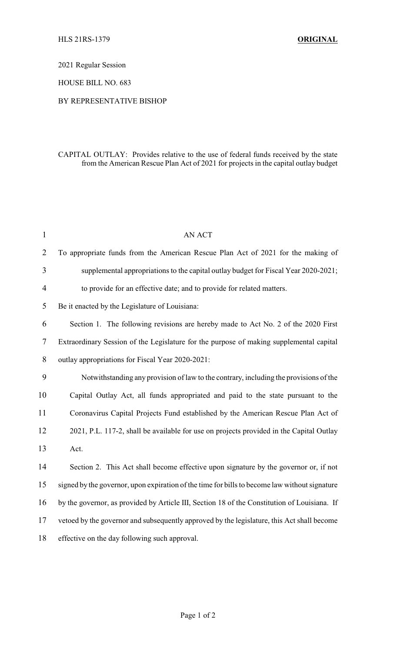2021 Regular Session

HOUSE BILL NO. 683

## BY REPRESENTATIVE BISHOP

## CAPITAL OUTLAY: Provides relative to the use of federal funds received by the state from the American Rescue Plan Act of 2021 for projects in the capital outlay budget

| $\mathbf{1}$   | <b>AN ACT</b>                                                                                 |
|----------------|-----------------------------------------------------------------------------------------------|
| $\overline{2}$ | To appropriate funds from the American Rescue Plan Act of 2021 for the making of              |
| 3              | supplemental appropriations to the capital outlay budget for Fiscal Year 2020-2021;           |
| $\overline{4}$ | to provide for an effective date; and to provide for related matters.                         |
| 5              | Be it enacted by the Legislature of Louisiana:                                                |
| 6              | Section 1. The following revisions are hereby made to Act No. 2 of the 2020 First             |
| 7              | Extraordinary Session of the Legislature for the purpose of making supplemental capital       |
| 8              | outlay appropriations for Fiscal Year 2020-2021:                                              |
| 9              | Notwithstanding any provision of law to the contrary, including the provisions of the         |
| 10             | Capital Outlay Act, all funds appropriated and paid to the state pursuant to the              |
| 11             | Coronavirus Capital Projects Fund established by the American Rescue Plan Act of              |
| 12             | 2021, P.L. 117-2, shall be available for use on projects provided in the Capital Outlay       |
| 13             | Act.                                                                                          |
| 14             | Section 2. This Act shall become effective upon signature by the governor or, if not          |
| 15             | signed by the governor, upon expiration of the time for bills to become law without signature |
| 16             | by the governor, as provided by Article III, Section 18 of the Constitution of Louisiana. If  |
| 17             | vetoed by the governor and subsequently approved by the legislature, this Act shall become    |
| 18             | effective on the day following such approval.                                                 |